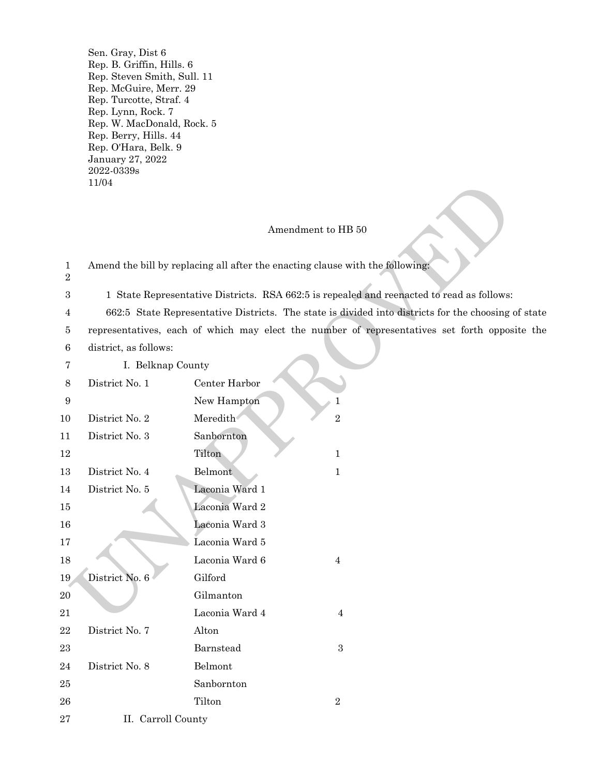Sen. Gray, Dist 6 Rep. B. Griffin, Hills. 6 Rep. Steven Smith, Sull. 11 Rep. McGuire, Merr. 29 Rep. Turcotte, Straf. 4 Rep. Lynn, Rock. 7 Rep. W. MacDonald, Rock. 5 Rep. Berry, Hills. 44 Rep. O'Hara, Belk. 9 January 27, 2022 2022-0339s 11/04

# Amendment to HB 50

|                            | 11/04                 |                                                                                                     |
|----------------------------|-----------------------|-----------------------------------------------------------------------------------------------------|
|                            |                       | Amendment to HB 50                                                                                  |
| $\mathbf{1}$<br>$\sqrt{2}$ |                       | Amend the bill by replacing all after the enacting clause with the following:                       |
| 3                          |                       | 1 State Representative Districts. RSA 662:5 is repealed and reenacted to read as follows:           |
| 4                          |                       | 662:5 State Representative Districts. The state is divided into districts for the choosing of state |
| 5                          |                       | representatives, each of which may elect the number of representatives set forth opposite the       |
| $\,6$                      | district, as follows: |                                                                                                     |
| 7                          | I. Belknap County     |                                                                                                     |
| 8                          | District No. 1        | Center Harbor                                                                                       |
| $\boldsymbol{9}$           |                       | New Hampton<br>1                                                                                    |
| 10                         | District No. 2        | Meredith<br>$\overline{2}$                                                                          |
| 11                         | District No. 3        | Sanbornton                                                                                          |
| 12                         |                       | Tilton<br>$\mathbf{1}$                                                                              |
| 13                         | District No. 4        | Belmont<br>$\mathbf{1}$                                                                             |
| 14                         | District No. 5        | Laconia Ward 1                                                                                      |
| 15                         |                       | Laconia Ward 2                                                                                      |
| 16                         |                       | Laconia Ward 3                                                                                      |
| 17                         |                       | Laconia Ward 5                                                                                      |
| 18                         |                       | Laconia Ward 6<br>$\overline{4}$                                                                    |
| 19                         | District No. 6        | Gilford                                                                                             |
| 20                         |                       | Gilmanton                                                                                           |
| 21                         |                       | Laconia Ward 4<br>4                                                                                 |
| 22                         | District No. 7        | Alton                                                                                               |
| 23                         |                       | $\sqrt{3}$<br>Barnstead                                                                             |
| 24                         | District No. 8        | Belmont                                                                                             |
| 25                         |                       | Sanbornton                                                                                          |
| ${\bf 26}$                 |                       | Tilton<br>$\sqrt{2}$                                                                                |
| $\sqrt{27}$                | II. Carroll County    |                                                                                                     |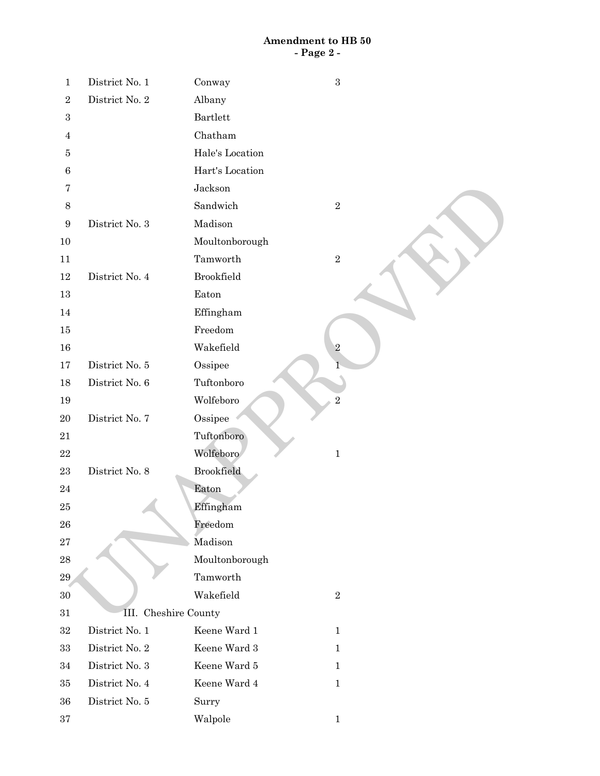## **Amendment to HB 50 - Page 2 -**

| $\mathbf{1}$     | District No. 1       | Conway            | $\sqrt{3}$     |
|------------------|----------------------|-------------------|----------------|
| $\sqrt{2}$       | District No. 2       | Albany            |                |
| $\,3$            |                      | <b>Bartlett</b>   |                |
| $\overline{4}$   |                      | Chatham           |                |
| 5                |                      | Hale's Location   |                |
| $\,6\,$          |                      | Hart's Location   |                |
| 7                |                      | Jackson           |                |
| $8\,$            |                      | Sandwich          | $\,2$          |
| $\boldsymbol{9}$ | District No. 3       | Madison           |                |
| 10               |                      | Moultonborough    |                |
| 11               |                      | Tamworth          | $\,2$          |
| 12               | District No. 4       | Brookfield        |                |
| $13\,$           |                      | Eaton             |                |
| 14               |                      | Effingham         |                |
| 15               |                      | Freedom           |                |
| 16               |                      | Wakefield         | $\sqrt{2}$     |
| $17\,$           | District No. 5       | Ossipee           |                |
| 18               | District No. 6       | Tuftonboro        |                |
| 19               |                      | Wolfeboro         | $\overline{2}$ |
| 20               | District No. 7       | Ossipee           |                |
| 21               |                      | Tuftonboro        |                |
| $\bf{22}$        |                      | Wolfeboro         | $\,1$          |
| $\bf 23$         | District No. 8       | <b>Brookfield</b> |                |
| $\bf{24}$        |                      | Eaton             |                |
| $25\,$           |                      | Effingham         |                |
| 26               |                      | Freedom           |                |
| $\sqrt{27}$      |                      | Madison           |                |
| $\bf{28}$        |                      | Moultonborough    |                |
| $\bf 29$         |                      | Tamworth          |                |
| $30\,$           |                      | Wakefield         | $\sqrt{2}$     |
| 31               | III. Cheshire County |                   |                |
| $32\,$           | District No. 1       | Keene Ward 1      | $\mathbf{1}$   |
| 33               | District No. 2       | Keene Ward $3\,$  | $\mathbf{1}$   |
| 34               | District No. 3       | Keene Ward 5      | $\mathbf{1}$   |
| 35               | District No. 4       | Keene Ward $4\,$  | $\mathbf{1}$   |
| 36               | District No. 5       | Surry             |                |
| $37\,$           |                      | Walpole           | $\mathbf{1}$   |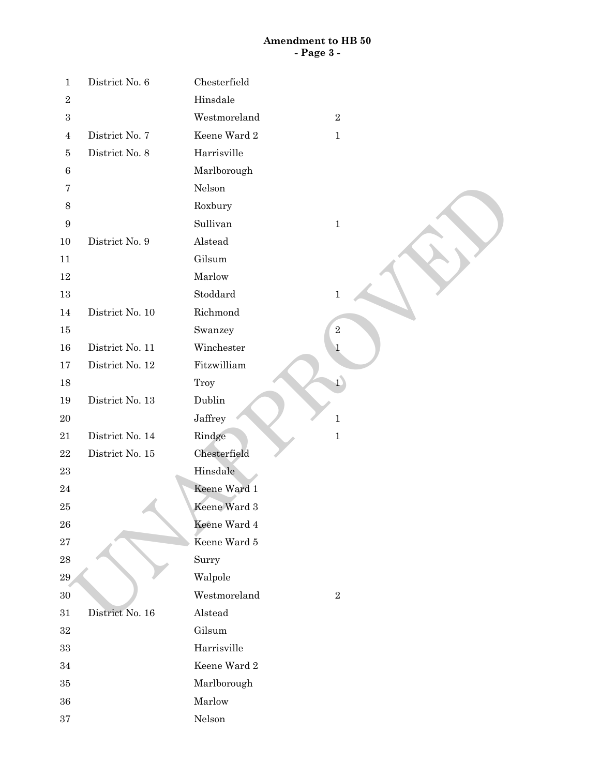# **Amendment to HB 50 - Page 3 -**

| 1                | District No. 6  | Chesterfield                 |
|------------------|-----------------|------------------------------|
| $\sqrt{2}$       |                 | Hinsdale                     |
| $\boldsymbol{3}$ |                 | Westmoreland<br>$\,2$        |
| $\overline{4}$   | District No. 7  | Keene Ward 2<br>$\mathbf{1}$ |
| 5                | District No. 8  | Harrisville                  |
| $\,6$            |                 | Marlborough                  |
| 7                |                 | Nelson                       |
| $8\,$            |                 | Roxbury                      |
| 9                |                 | Sullivan<br>$\mathbf 1$      |
| 10               | District No. 9  | Alstead                      |
| 11               |                 | Gilsum                       |
| 12               |                 | Marlow                       |
| 13               |                 | Stoddard<br>$\mathbf{1}$     |
| 14               | District No. 10 | Richmond                     |
| 15               |                 | Swanzey<br>$\,2$             |
| $16\,$           | District No. 11 | Winchester<br>$\mathbf 1$    |
| $17\,$           | District No. 12 | Fitzwilliam                  |
| 18               |                 | $\overline{1}$<br>Troy       |
| 19               | District No. 13 | Dublin                       |
| $20\,$           |                 | Jaffrey<br>$\mathbf 1$       |
| 21               | District No. 14 | Rindge<br>$\,1$              |
| $\bf{22}$        | District No. 15 | Chesterfield                 |
| $\bf 23$         |                 | Hinsdale                     |
| $\bf{24}$        |                 | Keene Ward 1                 |
| $25\,$           |                 | Keene Ward 3                 |
| ${\bf 26}$       |                 | Keene Ward 4                 |
| $\sqrt{27}$      |                 | Keene Ward 5                 |
| $\bf 28$         |                 | Surry                        |
| 29               |                 | Walpole                      |
| $30\,$           |                 | Westmoreland<br>$\,2$        |
| 31               | District No. 16 | Alstead                      |
| 32               |                 | Gilsum                       |
| $33\,$           |                 | Harrisville                  |
| 34               |                 | Keene Ward 2                 |
| 35               |                 | Marlborough                  |
| 36               |                 | Marlow                       |
| $37\,$           |                 | $\operatorname{Nelson}$      |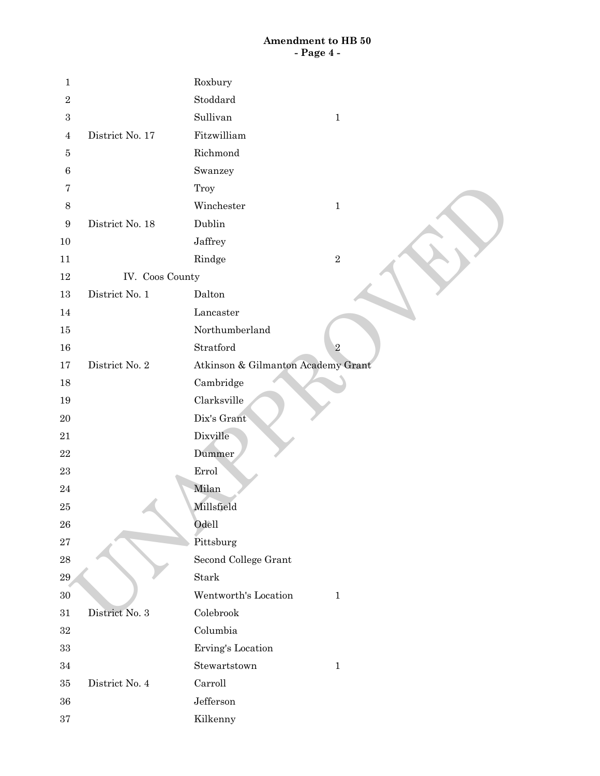# **Amendment to HB 50 - Page 4 -**

| $\mathbf 1$      |                 | Roxbury                              |
|------------------|-----------------|--------------------------------------|
| $\sqrt{2}$       |                 | Stoddard                             |
| $\,3$            |                 | Sullivan<br>$\mathbf{1}$             |
| $\overline{4}$   | District No. 17 | Fitzwilliam                          |
| $\bf 5$          |                 | Richmond                             |
| $\,6$            |                 | Swanzey                              |
| 7                |                 | Troy                                 |
| $\,8\,$          |                 | Winchester<br>$\mathbf 1$            |
| $\boldsymbol{9}$ | District No. 18 | Dublin                               |
| 10               |                 | Jaffrey                              |
| 11               |                 | Rindge<br>$\,2$                      |
| 12               | IV. Coos County |                                      |
| $13\,$           | District No. 1  | Dalton                               |
| 14               |                 | Lancaster                            |
| 15               |                 | Northumberland                       |
| 16               |                 | Stratford<br>$\overline{2}$          |
| $17\,$           | District No. 2  | Atkinson & Gilmanton Academy Grant   |
| 18               |                 | Cambridge                            |
| 19               |                 | Clarksville                          |
| 20               |                 | Dix's Grant                          |
| 21               |                 | Dixville                             |
| $\bf 22$         |                 | Dummer                               |
| $\bf 23$         |                 | Errol                                |
| 24               |                 | Milan                                |
| 25               |                 | Millsfield                           |
| ${\bf 26}$       |                 | Odell                                |
| $\sqrt{27}$      |                 | Pittsburg                            |
| ${\bf 28}$       |                 | Second College Grant                 |
| 29               |                 | Stark                                |
| $30\,$           |                 | Wentworth's Location<br>$\mathbf{1}$ |
| $31\,$           | District No. 3  | Colebrook                            |
| $32\,$           |                 | Columbia                             |
| $33\,$           |                 | Erving's Location                    |
| $34\,$           |                 | Stewartstown<br>$1\,$                |
| $35\,$           | District No. 4  | Carroll                              |
| 36               |                 | $\operatorname{Jefferson}$           |
| $\bf{37}$        |                 | Kilkenny                             |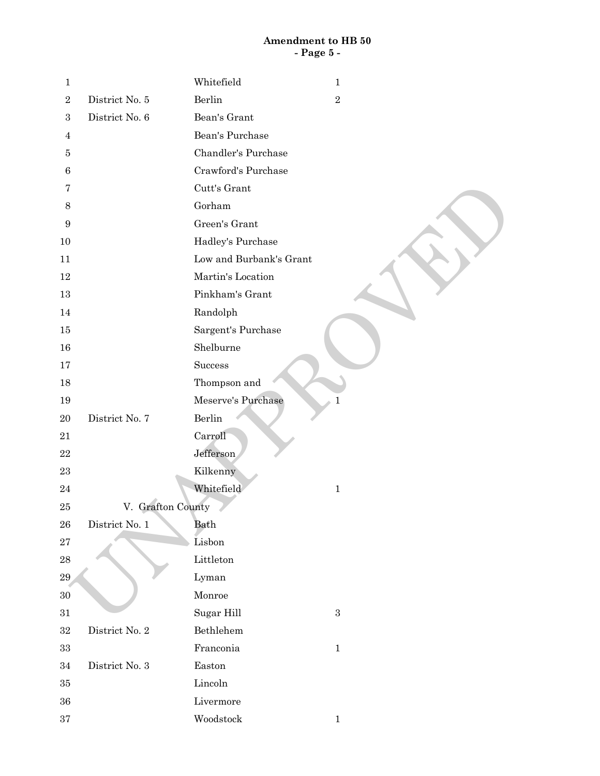## **Amendment to HB 50 - Page 5 -**

| $\mathbf{1}$     |                   | Whitefield              | $\mathbf{1}$ |
|------------------|-------------------|-------------------------|--------------|
| $\,2$            | District No. 5    | Berlin                  | $\,2$        |
| $\,3$            | District No. 6    | Bean's Grant            |              |
| $\overline{4}$   |                   | Bean's Purchase         |              |
| $\bf 5$          |                   | Chandler's Purchase     |              |
| $\,6\,$          |                   | Crawford's Purchase     |              |
| 7                |                   | Cutt's Grant            |              |
| $\,8\,$          |                   | Gorham                  |              |
| $\boldsymbol{9}$ |                   | Green's Grant           |              |
| $10\,$           |                   | Hadley's Purchase       |              |
| 11               |                   | Low and Burbank's Grant |              |
| 12               |                   | Martin's Location       |              |
| 13               |                   | Pinkham's Grant         |              |
| 14               |                   | Randolph                |              |
| 15               |                   | Sargent's Purchase      |              |
| 16               |                   | Shelburne               |              |
| 17               |                   | Success                 |              |
| 18               |                   | Thompson and            |              |
| 19               |                   | Meserve's Purchase      | $\mathbf{1}$ |
| 20               | District No. 7    | Berlin                  |              |
| 21               |                   | Carroll                 |              |
| $\bf 22$         |                   | Jefferson               |              |
| 23               |                   | Kilkenny                |              |
| 24               |                   | Whitefield              | $\mathbf{1}$ |
| 25               | V. Grafton County |                         |              |
| ${\bf 26}$       | District No. 1    | Bath                    |              |
| $\sqrt{27}$      |                   | Lisbon                  |              |
| ${\bf 28}$       |                   | ${\rm Littleton}$       |              |
| 29               |                   | Lyman                   |              |
| $30\,$           |                   | Monroe                  |              |
| $31\,$           |                   | Sugar Hill              | $\,3$        |
| $32\,$           | District No. 2    | Bethlehem               |              |
| $33\,$           |                   | Franconia               | $\,1$        |
| $34\,$           | District No. 3    | Easton                  |              |
| $35\,$           |                   | $\mbox{Lincoh}$         |              |
| $36\,$           |                   | Livermore               |              |
| $37\,$           |                   | Woodstock               | $\mathbf{1}$ |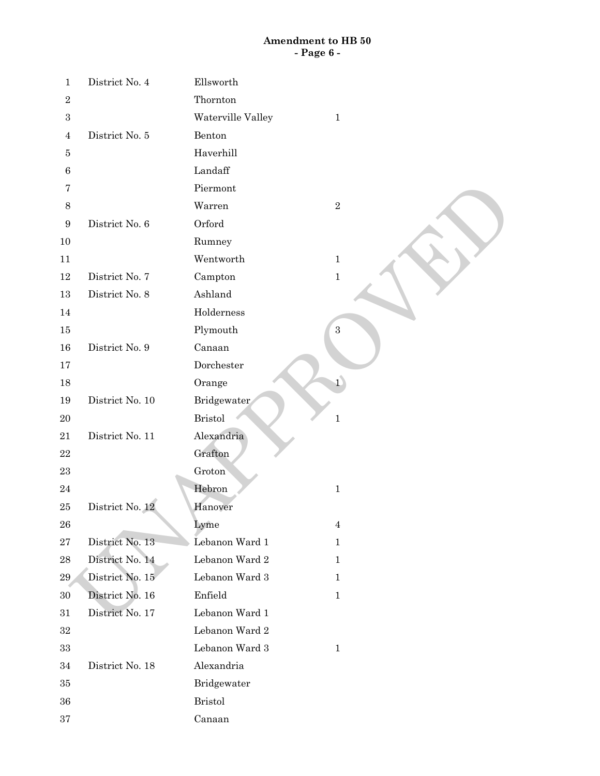# **Amendment to HB 50 - Page 6 -**

| $\mathbf{1}$     | District No. 4  | Ellsworth                         |
|------------------|-----------------|-----------------------------------|
| $\overline{2}$   |                 | Thornton                          |
| $\boldsymbol{3}$ |                 | Waterville Valley<br>$\mathbf{1}$ |
| 4                | District No. 5  | Benton                            |
| 5                |                 | Haverhill                         |
| $\,6\,$          |                 | Landaff                           |
| 7                |                 | Piermont                          |
| $8\,$            |                 | Warren<br>$\,2$                   |
| $\boldsymbol{9}$ | District No. 6  | Orford                            |
| 10               |                 | Rumney                            |
| 11               |                 | Wentworth<br>$\mathbf 1$          |
| 12               | District No. 7  | Campton<br>$\,1\,$                |
| 13               | District No. 8  | Ashland                           |
| 14               |                 | Holderness                        |
| 15               |                 | Plymouth<br>$\,3$                 |
| 16               | District No. 9  | Canaan                            |
| 17               |                 | Dorchester                        |
| 18               |                 | $\mathbf{1}$<br>Orange            |
| 19               | District No. 10 | Bridgewater                       |
| $20\,$           |                 | <b>Bristol</b><br>$\mathbf{1}$    |
| 21               | District No. 11 | Alexandria                        |
| $22\,$           |                 | Grafton                           |
| $\bf 23$         |                 | Groton                            |
| $\sqrt{24}$      |                 | Hebron<br>$1\,$                   |
| 25               | District No. 12 | Hanover                           |
| ${\bf 26}$       |                 | Lyme<br>$\overline{4}$            |
| $\sqrt{27}$      | District No. 13 | Lebanon Ward 1<br>$\mathbf{1}$    |
| ${\bf 28}$       | District No. 14 | Lebanon Ward 2<br>$\mathbf{1}$    |
| 29               | District No. 15 | Lebanon Ward 3<br>$\mathbf{1}$    |
| $30\,$           | District No. 16 | Enfield<br>$\mathbf{1}$           |
| 31               | District No. 17 | Lebanon Ward 1                    |
| $32\,$           |                 | Lebanon Ward 2                    |
| $33\,$           |                 | Lebanon Ward 3<br>$\mathbf{1}$    |
| 34               | District No. 18 | Alexandria                        |
| 35               |                 | Bridgewater                       |
| 36               |                 | <b>Bristol</b>                    |
| $37\,$           |                 | Canaan                            |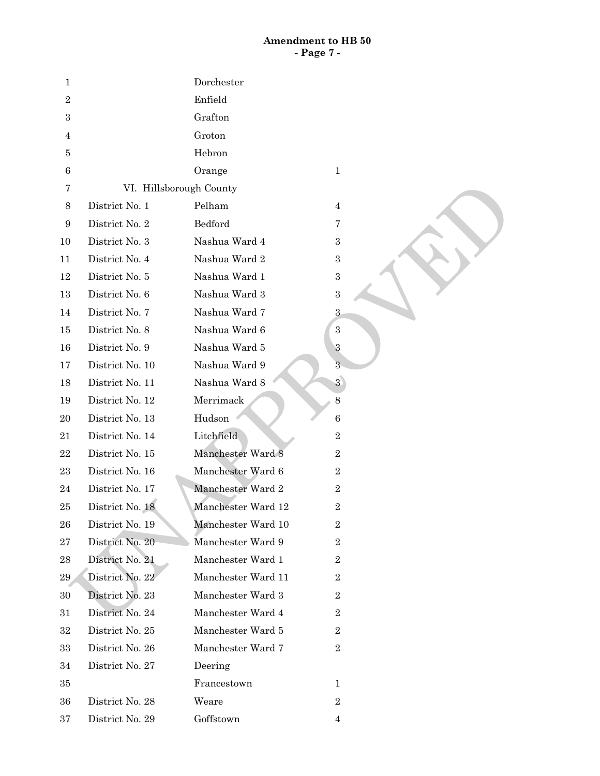## **Amendment to HB 50 - Page 7 -**

| 1                |                         | Dorchester         |                  |
|------------------|-------------------------|--------------------|------------------|
| $\overline{2}$   |                         | Enfield            |                  |
| $\,3$            |                         | Grafton            |                  |
| 4                |                         | Groton             |                  |
| 5                |                         | Hebron             |                  |
| $\,6\,$          |                         | Orange             | $\mathbf{1}$     |
| 7                | VI. Hillsborough County |                    |                  |
| $8\,$            | District No. 1          | Pelham             | $\overline{4}$   |
| $\boldsymbol{9}$ | District No. 2          | Bedford            | 7                |
| 10               | District No. 3          | Nashua Ward 4      | 3                |
| 11               | District No. 4          | Nashua Ward 2      | 3                |
| 12               | District No. 5          | Nashua Ward 1      | $\boldsymbol{3}$ |
| 13               | District No. 6          | Nashua Ward 3      | $\boldsymbol{3}$ |
| 14               | District No. 7          | Nashua Ward 7      | $\sqrt{3}$       |
| 15               | District No. 8          | Nashua Ward 6      | $\,3$            |
| 16               | District No. 9          | Nashua Ward 5      | $\sqrt{3}$       |
| 17               | District No. 10         | Nashua Ward 9      | 3                |
| 18               | District No. 11         | Nashua Ward 8      | $\overline{3}$   |
| 19               | District No. 12         | Merrimack          | $8\,$            |
| 20               | District No. 13         | Hudson             | $\,6\,$          |
| 21               | District No. 14         | Litchfield         | $\,2$            |
| 22               | District No. 15         | Manchester Ward 8  | $\,2$            |
| 23               | District No. 16         | Manchester Ward 6  | $\boldsymbol{2}$ |
| 24               | District No. 17         | Manchester Ward 2  | $\,2$            |
| 25               | District No. 18         | Manchester Ward 12 | $\boldsymbol{2}$ |
| 26               | District No. 19         | Manchester Ward 10 | $\sqrt{2}$       |
| 27               | District No. 20         | Manchester Ward 9  | $\,2$            |
| 28               | District No. 21         | Manchester Ward 1  | $\,2$            |
| 29               | District No. 22         | Manchester Ward 11 | $\,2$            |
| 30               | District No. 23         | Manchester Ward 3  | $\boldsymbol{2}$ |
| 31               | District No. 24         | Manchester Ward 4  | $\,2$            |
| 32               | District No. 25         | Manchester Ward 5  | $\boldsymbol{2}$ |
| 33               | District No. 26         | Manchester Ward 7  | $\,2$            |
| 34               | District No. 27         | Deering            |                  |
| 35               |                         | Francestown        | $\mathbf 1$      |
| 36               | District No. 28         | Weare              | $\,2$            |
| 37               | District No. 29         | Goffstown          | $\overline{4}$   |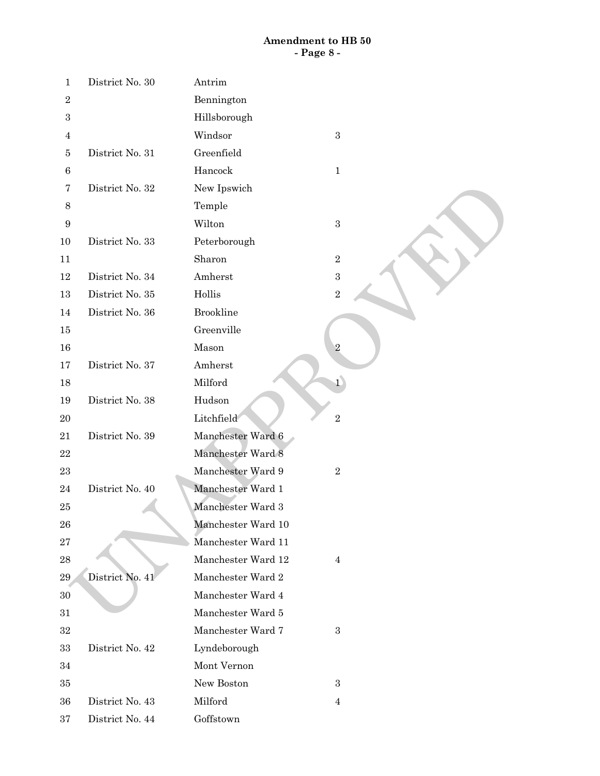## **Amendment to HB 50 - Page 8 -**

| $\mathbf 1$      | District No. 30 | Antrim             |                  |
|------------------|-----------------|--------------------|------------------|
| $\sqrt{2}$       |                 | Bennington         |                  |
| $\sqrt{3}$       |                 | Hillsborough       |                  |
| $\overline{4}$   |                 | Windsor            | $\sqrt{3}$       |
| $\bf 5$          | District No. 31 | Greenfield         |                  |
| $\,6$            |                 | Hancock            | $\mathbf{1}$     |
| $\overline{7}$   | District No. 32 | New Ipswich        |                  |
| $8\,$            |                 | Temple             |                  |
| $\boldsymbol{9}$ |                 | Wilton             | $\boldsymbol{3}$ |
| 10               | District No. 33 | Peterborough       |                  |
| 11               |                 | Sharon             | $\,2$            |
| 12               | District No. 34 | Amherst            | $\overline{3}$   |
| 13               | District No. 35 | Hollis             | $\overline{2}$   |
| 14               | District No. 36 | <b>Brookline</b>   |                  |
| 15               |                 | Greenville         |                  |
| $16\,$           |                 | Mason              | $\sqrt{2}$       |
| $17\,$           | District No. 37 | Amherst            |                  |
| 18               |                 | Milford            | $\overline{1}$   |
| 19               | District No. 38 | Hudson             |                  |
| $20\,$           |                 | Litchfield         | $\overline{2}$   |
| 21               | District No. 39 | Manchester Ward 6  |                  |
| $\bf 22$         |                 | Manchester Ward 8  |                  |
| 23               |                 | Manchester Ward 9  | $\,2$            |
| 24               | District No. 40 | Manchester Ward 1  |                  |
| $25\,$           |                 | Manchester Ward 3  |                  |
| ${\bf 26}$       |                 | Manchester Ward 10 |                  |
| $\sqrt{27}$      |                 | Manchester Ward 11 |                  |
| 28               |                 | Manchester Ward 12 | $\overline{4}$   |
| $\bf 29$         | District No. 41 | Manchester Ward 2  |                  |
| $30\,$           |                 | Manchester Ward 4  |                  |
| 31               |                 | Manchester Ward 5  |                  |
| 32               |                 | Manchester Ward 7  | $\boldsymbol{3}$ |
| 33               | District No. 42 | Lyndeborough       |                  |
| 34               |                 | Mont Vernon        |                  |
| 35               |                 | New Boston         | $\boldsymbol{3}$ |
| 36               | District No. 43 | Milford            | 4                |
| $37\,$           | District No. 44 | Goffstown          |                  |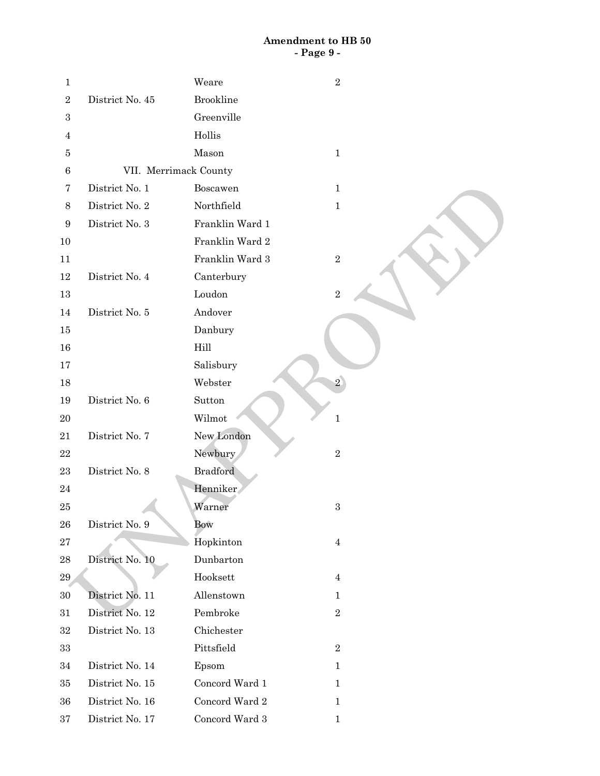## **Amendment to HB 50 - Page 9 -**

| $\mathbf{1}$     |                       | Weare              | $\sqrt{2}$     |  |
|------------------|-----------------------|--------------------|----------------|--|
| $\boldsymbol{2}$ | District No. 45       | <b>Brookline</b>   |                |  |
| $\boldsymbol{3}$ |                       | Greenville         |                |  |
| 4                |                       | Hollis             |                |  |
| 5                |                       | Mason              | $\mathbf{1}$   |  |
| $\,6$            | VII. Merrimack County |                    |                |  |
| $\overline{7}$   | District No. 1        | Boscawen           | $\mathbf{1}$   |  |
| $8\,$            | District No. 2        | Northfield         | $\mathbf 1$    |  |
| $\boldsymbol{9}$ | District No. 3        | Franklin Ward 1    |                |  |
| 10               |                       | Franklin Ward 2    |                |  |
| 11               |                       | Franklin Ward 3    | $\sqrt{2}$     |  |
| 12               | District No. 4        | Canterbury         |                |  |
| 13               |                       | Loudon             | $\overline{2}$ |  |
| 14               | District No. $5\,$    | Andover            |                |  |
| 15               |                       | Danbury            |                |  |
| $16\,$           |                       | Hill               |                |  |
| 17               |                       | Salisbury          |                |  |
| 18               |                       | Webster            | $\overline{2}$ |  |
| 19               | District No. 6        | Sutton             |                |  |
| $20\,$           |                       | Wilmot             | $\mathbf{1}$   |  |
| 21               | District No. 7        | New London         |                |  |
| $\bf{22}$        |                       | Newbury            | $\,2$          |  |
| $\bf 23$         | District No. 8        | <b>Bradford</b>    |                |  |
| $\bf{24}$        |                       | Henniker           |                |  |
| $25\,$           |                       | Warner             | $\,3$          |  |
| 26               | District No. 9        | Bow                |                |  |
| $\sqrt{27}$      |                       | Hopkinton          | $\overline{4}$ |  |
| $\bf{28}$        | District No. 10       | Dunbarton          |                |  |
| 29               |                       | Hooksett           | $\overline{4}$ |  |
| $30\,$           | District No. 11       | Allenstown         | $\mathbf{1}$   |  |
| 31               | District No. 12       | Pembroke           | $\,2$          |  |
| 32               | District No. 13       | Chichester         |                |  |
| 33               |                       | Pittsfield         | $\sqrt{2}$     |  |
| 34               | District No. 14       | Epsom              | $\mathbf{1}$   |  |
| 35               | District No. 15       | Concord Ward 1     | 1              |  |
| 36               | District No. 16       | Concord Ward 2     | $\mathbf{1}$   |  |
| $37\,$           | District No. 17       | Concord Ward $3\,$ | 1              |  |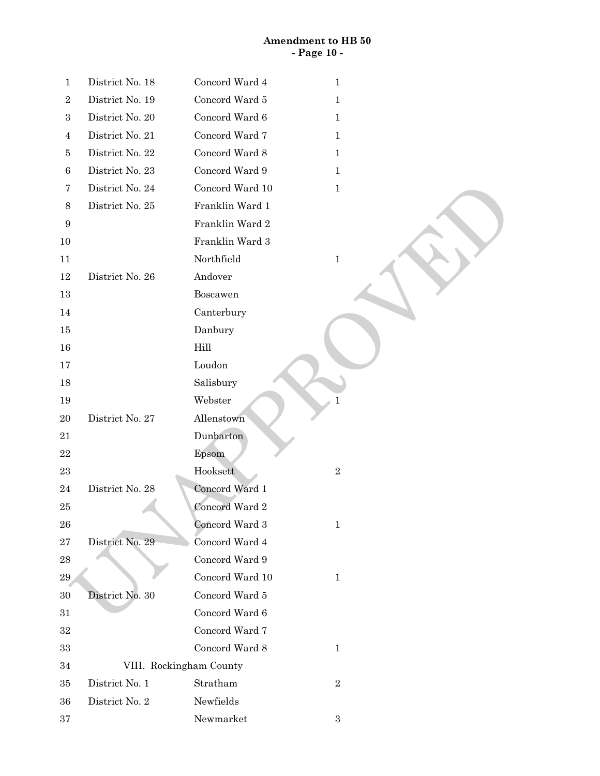# **Amendment to HB 50 - Page 10 -**

| $\mathbf{1}$   | District No. 18         | Concord Ward 4  | $\mathbf{1}$ |
|----------------|-------------------------|-----------------|--------------|
| $\,2$          | District No. 19         | Concord Ward 5  | $\mathbf{1}$ |
| $\,3\,$        | District No. 20         | Concord Ward 6  | $\mathbf{1}$ |
| $\overline{4}$ | District No. 21         | Concord Ward 7  | $\mathbf{1}$ |
| 5              | District No. 22         | Concord Ward 8  | $\mathbf{1}$ |
| $\,6\,$        | District No. 23         | Concord Ward 9  | $\mathbf{1}$ |
| $\overline{7}$ | District No. 24         | Concord Ward 10 | $\mathbf{1}$ |
| $\,8\,$        | District No. 25         | Franklin Ward 1 |              |
| 9              |                         | Franklin Ward 2 |              |
| 10             |                         | Franklin Ward 3 |              |
| 11             |                         | Northfield      | $\mathbf{1}$ |
| 12             | District No. 26         | Andover         |              |
| 13             |                         | Boscawen        |              |
| 14             |                         | Canterbury      |              |
| 15             |                         | Danbury         |              |
| 16             |                         | Hill            |              |
| 17             |                         | Loudon          |              |
| 18             |                         | Salisbury       |              |
| 19             |                         | Webster         | $\mathbf 1$  |
| 20             | District No. 27         | Allenstown      |              |
| 21             |                         | Dunbarton       |              |
| 22             |                         | Epsom           |              |
| $\bf 23$       |                         | Hooksett        | $\,2$        |
| 24             | District No. 28         | Concord Ward 1  |              |
| $25\,$         |                         | Concord Ward 2  |              |
| 26             |                         | Concord Ward 3  | $\mathbf{1}$ |
| $\sqrt{27}$    | District No. 29         | Concord Ward 4  |              |
| ${\bf 28}$     |                         | Concord Ward 9  |              |
| $\bf 29$       |                         | Concord Ward 10 | $\mathbf{1}$ |
| $30\,$         | District No. 30         | Concord Ward 5  |              |
| $31\,$         |                         | Concord Ward 6  |              |
| $32\,$         |                         | Concord Ward 7  |              |
| $33\,$         |                         | Concord Ward 8  | $\mathbf{1}$ |
| $34\,$         | VIII. Rockingham County |                 |              |
| 35             | District No. 1          | Stratham        | $\,2$        |
| 36             | District No. 2          | Newfields       |              |
| $\bf{37}$      |                         | Newmarket       | $\,3\,$      |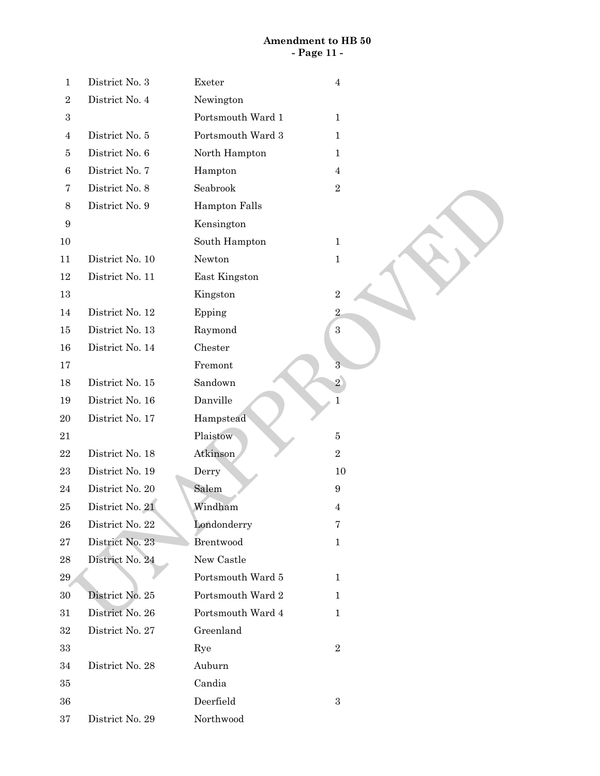# **Amendment to HB 50 - Page 11 -**

| $\mathbf{1}$     | District No. 3  | Exeter            | $\boldsymbol{4}$        |
|------------------|-----------------|-------------------|-------------------------|
| $\sqrt{2}$       | District No. 4  | Newington         |                         |
| $\sqrt{3}$       |                 | Portsmouth Ward 1 | $\mathbf{1}$            |
| $\overline{4}$   | District No. 5  | Portsmouth Ward 3 | $\mathbf{1}$            |
| 5                | District No. 6  | North Hampton     | $\mathbf{1}$            |
| $\,6$            | District No. 7  | Hampton           | $\overline{4}$          |
| $\overline{7}$   | District No. 8  | Seabrook          | $\,2$                   |
| $\,8\,$          | District No. 9  | Hampton Falls     |                         |
| $\boldsymbol{9}$ |                 | Kensington        |                         |
| 10               |                 | South Hampton     | $\mathbf{1}$            |
| 11               | District No. 10 | Newton            | $\mathbf{1}$            |
| 12               | District No. 11 | East Kingston     |                         |
| $13\,$           |                 | Kingston          | $\,2$                   |
| $14\,$           | District No. 12 | Epping            | $\overline{\mathbf{2}}$ |
| 15               | District No. 13 | Raymond           | $\,3$                   |
| 16               | District No. 14 | Chester           |                         |
| 17               |                 | Fremont           | 3                       |
| 18               | District No. 15 | Sandown           | $\overline{2}$          |
| 19               | District No. 16 | Danville          | 1                       |
| 20               | District No. 17 | Hampstead         |                         |
| 21               |                 | Plaistow          | $\bf 5$                 |
| $\bf 22$         | District No. 18 | Atkinson          | $\overline{2}$          |
| 23               | District No. 19 | Derry             | 10                      |
| 24               | District No. 20 | Salem             | $\boldsymbol{9}$        |
| $25\,$           | District No. 21 | Windham           | 4                       |
| 26               | District No. 22 | Londonderry       | $\bf 7$                 |
| 27               | District No. 23 | Brentwood         | $\mathbf{1}$            |
| 28               | District No. 24 | New Castle        |                         |
| $\bf 29$         |                 | Portsmouth Ward 5 | $\mathbf{1}$            |
| 30               | District No. 25 | Portsmouth Ward 2 | $\mathbf{1}$            |
| 31               | District No. 26 | Portsmouth Ward 4 | $\mathbf{1}$            |
| 32               | District No. 27 | Greenland         |                         |
| 33               |                 | Rye               | $\,2$                   |
| 34               | District No. 28 | Auburn            |                         |
| 35               |                 | Candia            |                         |
| 36               |                 | Deerfield         | $\,3$                   |
| $\rm 37$         | District No. 29 | Northwood         |                         |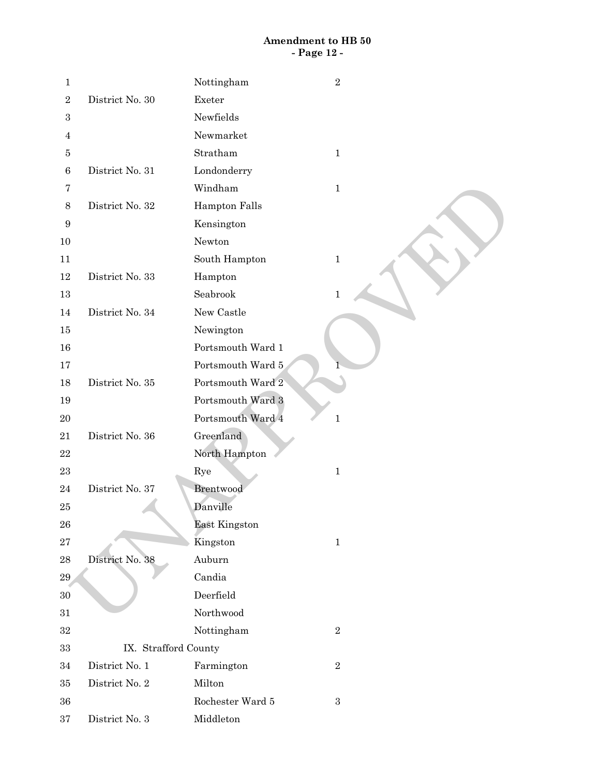# **Amendment to HB 50 - Page 12 -**

| $\mathbf 1$      |                      | Nottingham           | $\,2$        |
|------------------|----------------------|----------------------|--------------|
| $\sqrt{2}$       | District No. 30      | Exeter               |              |
| $\,3$            |                      | Newfields            |              |
| $\overline{4}$   |                      | Newmarket            |              |
| 5                |                      | Stratham             | $\mathbf{1}$ |
| $\,6\,$          | District No. 31      | Londonderry          |              |
| 7                |                      | Windham              | $\mathbf{1}$ |
| $\,8\,$          | District No. 32      | Hampton Falls        |              |
| $\boldsymbol{9}$ |                      | Kensington           |              |
| 10               |                      | Newton               |              |
| 11               |                      | South Hampton        | $\mathbf{1}$ |
| 12               | District No. 33      | Hampton              |              |
| $13\,$           |                      | Seabrook             | 1            |
| 14               | District No. 34      | New Castle           |              |
| 15               |                      | Newington            |              |
| 16               |                      | Portsmouth Ward 1    |              |
| 17               |                      | Portsmouth Ward 5    |              |
| 18               | District No. 35      | Portsmouth Ward 2    |              |
| 19               |                      | Portsmouth Ward 3    |              |
| 20               |                      | Portsmouth Ward 4    | $\mathbf{1}$ |
| 21               | District No. 36      | Greenland            |              |
| $\bf 22$         |                      | North Hampton        |              |
| 23               |                      | Rye                  | $\mathbf{1}$ |
| 24               | District No. 37      | Brentwood            |              |
| 25               |                      | Danville             |              |
| ${\bf 26}$       |                      | <b>East Kingston</b> |              |
| $\sqrt{27}$      |                      | Kingston             | $\mathbf{1}$ |
| ${\bf 28}$       | District No. 38      | Auburn               |              |
| 29               |                      | Candia               |              |
| $30\,$           |                      | Deerfield            |              |
| $31\,$           |                      | Northwood            |              |
| $32\,$           |                      | Nottingham           | $\,2$        |
| $33\,$           | IX. Strafford County |                      |              |
| 34               | District No. 1       | Farmington           | $\,2$        |
| 35               | District No. 2       | Milton               |              |
| 36               |                      | Rochester Ward 5     | $\,3$        |
| $\rm 37$         | District No. 3       | Middleton            |              |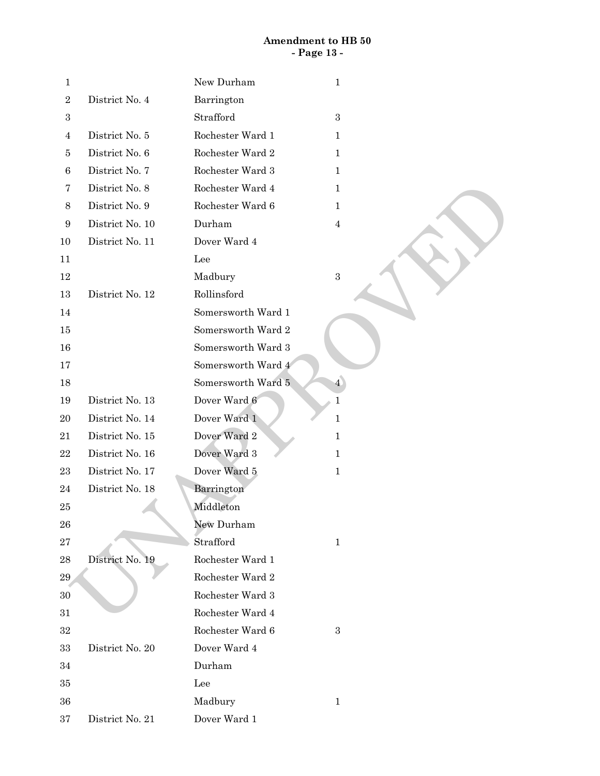# **Amendment to HB 50 - Page 13 -**

| 1                |                 | New Durham<br>$\mathbf 1$            |  |
|------------------|-----------------|--------------------------------------|--|
| $\sqrt{2}$       | District No. 4  | Barrington                           |  |
| 3                |                 | Strafford<br>$\,3$                   |  |
| 4                | District No. 5  | Rochester Ward 1<br>$\mathbf{1}$     |  |
| 5                | District No. 6  | Rochester Ward 2<br>$\mathbf{1}$     |  |
| $\,6\,$          | District No. 7  | Rochester Ward 3<br>$\mathbf{1}$     |  |
| 7                | District No. 8  | Rochester Ward 4<br>$\mathbf{1}$     |  |
| $8\,$            | District No. 9  | Rochester Ward 6<br>$\mathbf{1}$     |  |
| $\boldsymbol{9}$ | District No. 10 | Durham<br>$\overline{4}$             |  |
| 10               | District No. 11 | Dover Ward 4                         |  |
| 11               |                 | Lee                                  |  |
| 12               |                 | $\,3$<br>Madbury                     |  |
| 13               | District No. 12 | Rollinsford                          |  |
| 14               |                 | Somersworth Ward 1                   |  |
| 15               |                 | Somersworth Ward 2                   |  |
| 16               |                 | Somersworth Ward 3                   |  |
| 17               |                 | Somersworth Ward 4                   |  |
| 18               |                 | Somersworth Ward 5<br>$\overline{4}$ |  |
| 19               | District No. 13 | Dover Ward 6<br>$\mathbf{1}$         |  |
| 20               | District No. 14 | Dover Ward 1<br>$\mathbf{1}$         |  |
| 21               | District No. 15 | Dover Ward 2<br>$\mathbf{1}$         |  |
| $\bf 22$         | District No. 16 | Dover Ward 3<br>$\mathbf{1}$         |  |
| 23               | District No. 17 | Dover Ward 5<br>$\mathbf{1}$         |  |
| 24               | District No. 18 | Barrington                           |  |
| 25               |                 | Middleton                            |  |
| 26               |                 | New Durham                           |  |
| $\bf 27$         |                 | Strafford<br>$\mathbf{1}$            |  |
| 28               | District No. 19 | Rochester Ward 1                     |  |
| 29               |                 | Rochester Ward 2                     |  |
| 30               |                 | Rochester Ward 3                     |  |
| $31\,$           |                 | Rochester Ward 4                     |  |
| 32               |                 | Rochester Ward 6<br>$\boldsymbol{3}$ |  |
| 33               | District No. 20 | Dover Ward 4                         |  |
| 34               |                 | Durham                               |  |
| 35               |                 | Lee                                  |  |
| 36               |                 | Madbury<br>$\mathbf{1}$              |  |
| 37               | District No. 21 | Dover Ward 1                         |  |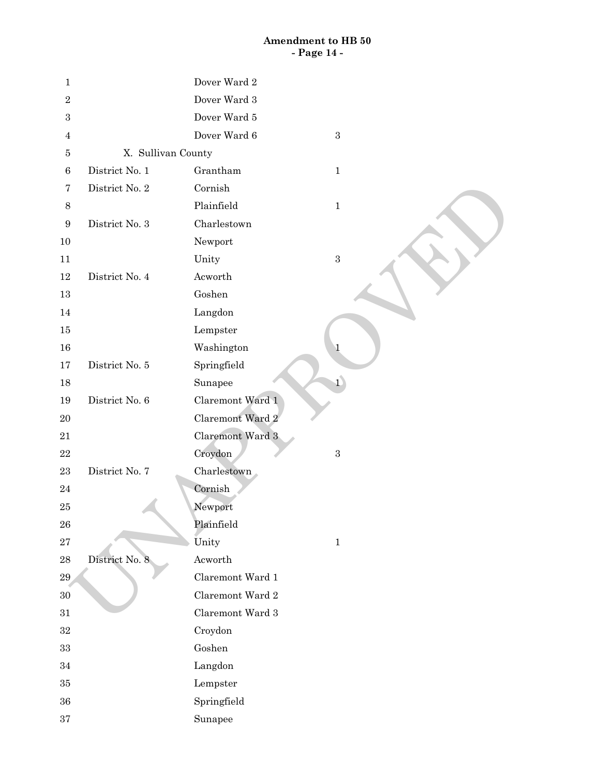# **Amendment to HB 50 - Page 14 -**

| $\mathbf 1$      |                    | Dover Ward 2               |
|------------------|--------------------|----------------------------|
| $\sqrt{2}$       |                    | Dover Ward 3               |
| $\boldsymbol{3}$ |                    | Dover Ward 5               |
| 4                |                    | Dover Ward 6<br>$\sqrt{3}$ |
| 5                | X. Sullivan County |                            |
| $\,6\,$          | District No. 1     | Grantham<br>$1\,$          |
| $\overline{7}$   | District No. 2     | Cornish                    |
| $8\,$            |                    | Plainfield<br>$\mathbf{1}$ |
| $\boldsymbol{9}$ | District No. 3     | Charlestown                |
| 10               |                    | Newport                    |
| 11               |                    | Unity<br>$\,3$             |
| 12               | District No. 4     | Acworth                    |
| 13               |                    | Goshen                     |
| 14               |                    | Langdon                    |
| 15               |                    | Lempster                   |
| $16\,$           |                    | Washington<br>$\mathbf 1$  |
| $17\,$           | District No. 5     | Springfield                |
| 18               |                    | $\overline{1}$<br>Sunapee  |
| 19               | District No. 6     | Claremont Ward 1           |
| $20\,$           |                    | Claremont Ward 2           |
| $21\,$           |                    | Claremont Ward 3           |
| $22\,$           |                    | Croydon<br>$\,3$           |
| $\bf 23$         | District No. 7     | Charlestown                |
| $\sqrt{24}$      |                    | Cornish                    |
| $25\,$           |                    | Newport                    |
| ${\bf 26}$       |                    | Plainfield                 |
| $\sqrt{27}$      |                    | Unity<br>$1\,$             |
| ${\bf 28}$       | District No. 8     | Acworth                    |
| 29               |                    | Claremont Ward 1           |
| $30\,$           |                    | Claremont Ward 2           |
| $31\,$           |                    | Claremont Ward 3           |
| $32\,$           |                    | Croydon                    |
| $33\,$           |                    | Goshen                     |
| $34\,$           |                    | Langdon                    |
| $35\,$           |                    | Lempster                   |
| $36\,$           |                    | Springfield                |
| 37               |                    | Sunapee                    |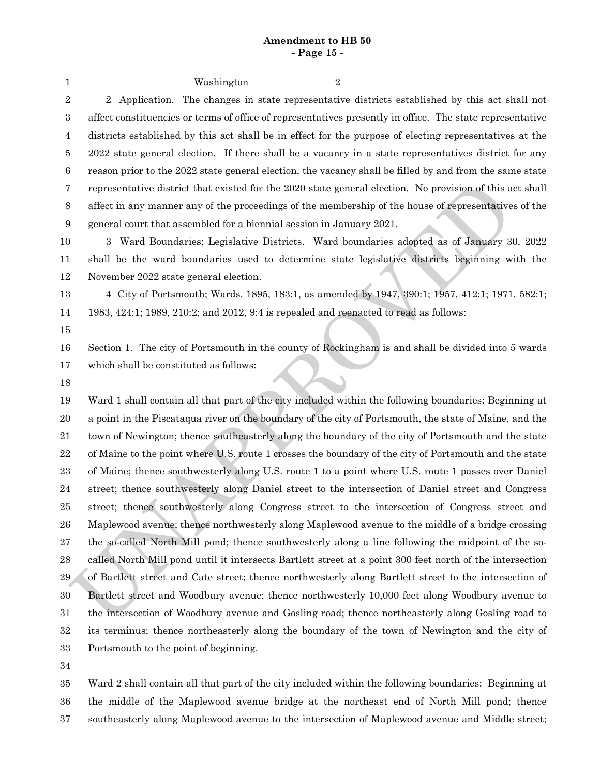### **Amendment to HB 50 - Page 15 -**

| 1                | Washington<br>2                                                                                                |
|------------------|----------------------------------------------------------------------------------------------------------------|
| $\sqrt{2}$       | Application. The changes in state representative districts established by this act shall not<br>$\overline{2}$ |
| $\boldsymbol{3}$ | affect constituencies or terms of office of representatives presently in office. The state representative      |
| 4                | districts established by this act shall be in effect for the purpose of electing representatives at the        |
| 5                | 2022 state general election. If there shall be a vacancy in a state representatives district for any           |
| $\,6$            | reason prior to the 2022 state general election, the vacancy shall be filled by and from the same state        |
| 7                | representative district that existed for the 2020 state general election. No provision of this act shall       |
| 8                | affect in any manner any of the proceedings of the membership of the house of representatives of the           |
| $\boldsymbol{9}$ | general court that assembled for a biennial session in January 2021.                                           |
| 10               | Ward Boundaries; Legislative Districts. Ward boundaries adopted as of January 30, 2022<br>$3^-$                |
| 11               | shall be the ward boundaries used to determine state legislative districts beginning with the                  |
| 12               | November 2022 state general election.                                                                          |
| 13               | 4 City of Portsmouth; Wards. 1895, 183:1, as amended by 1947, 390:1; 1957, 412:1; 1971, 582:1;                 |
| 14               | 1983, 424:1; 1989, 210:2; and 2012, 9:4 is repealed and reenacted to read as follows:                          |
| 15               |                                                                                                                |
| 16               | Section 1. The city of Portsmouth in the county of Rockingham is and shall be divided into 5 wards             |
| 17               | which shall be constituted as follows:                                                                         |
| 18               |                                                                                                                |
| 19               | Ward 1 shall contain all that part of the city included within the following boundaries: Beginning at          |
| 20               | a point in the Piscataqua river on the boundary of the city of Portsmouth, the state of Maine, and the         |
| 21               | town of Newington; thence southeasterly along the boundary of the city of Portsmouth and the state             |
| $\bf{22}$        | of Maine to the point where U.S. route 1 crosses the boundary of the city of Portsmouth and the state          |
| 23               | of Maine; thence southwesterly along U.S. route 1 to a point where U.S. route 1 passes over Daniel             |
| 24               | street; thence southwesterly along Daniel street to the intersection of Daniel street and Congress             |
| 25               | street; thence southwesterly along Congress street to the intersection of Congress street and                  |
| ${\bf 26}$       | Maplewood avenue; thence northwesterly along Maplewood avenue to the middle of a bridge crossing               |
| 27               | the so-called North Mill pond; thence southwesterly along a line following the midpoint of the so-             |
| $\bf 28$         | called North Mill pond until it intersects Bartlett street at a point 300 feet north of the intersection       |
| $\,29$           | of Bartlett street and Cate street; thence northwesterly along Bartlett street to the intersection of          |
| $30\,$           | Bartlett street and Woodbury avenue; thence northwesterly 10,000 feet along Woodbury avenue to                 |
| 31               |                                                                                                                |
|                  | the intersection of Woodbury avenue and Gosling road; thence northeasterly along Gosling road to               |
| 32               | its terminus; thence northeasterly along the boundary of the town of Newington and the city of                 |
| 33               | Portsmouth to the point of beginning.                                                                          |

Ward 2 shall contain all that part of the city included within the following boundaries: Beginning at the middle of the Maplewood avenue bridge at the northeast end of North Mill pond; thence southeasterly along Maplewood avenue to the intersection of Maplewood avenue and Middle street; 35 36 37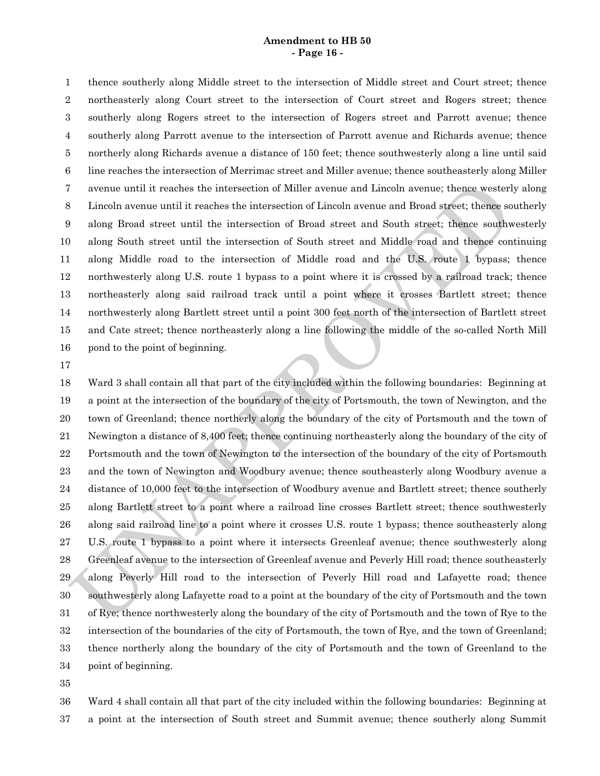#### **Amendment to HB 50 - Page 16 -**

thence southerly along Middle street to the intersection of Middle street and Court street; thence northeasterly along Court street to the intersection of Court street and Rogers street; thence southerly along Rogers street to the intersection of Rogers street and Parrott avenue; thence southerly along Parrott avenue to the intersection of Parrott avenue and Richards avenue; thence northerly along Richards avenue a distance of 150 feet; thence southwesterly along a line until said line reaches the intersection of Merrimac street and Miller avenue; thence southeasterly along Miller avenue until it reaches the intersection of Miller avenue and Lincoln avenue; thence westerly along Lincoln avenue until it reaches the intersection of Lincoln avenue and Broad street; thence southerly along Broad street until the intersection of Broad street and South street; thence southwesterly along South street until the intersection of South street and Middle road and thence continuing along Middle road to the intersection of Middle road and the U.S. route 1 bypass; thence northwesterly along U.S. route 1 bypass to a point where it is crossed by a railroad track; thence northeasterly along said railroad track until a point where it crosses Bartlett street; thence northwesterly along Bartlett street until a point 300 feet north of the intersection of Bartlett street and Cate street; thence northeasterly along a line following the middle of the so-called North Mill pond to the point of beginning. 1 2 3 4 5 6 7 8 9 10 11 12 13 14 15 16

17

 thence northerly along the boundary of the city of Portsmouth and the town of Greenland to the To avenue until it reaches the intersection of Miller avenue and Lincoln avenue; thence westerly alcohed avenue until it reaches the intersection of Lincoln secure until the control of the microscolon (Fig. ) along Broad Ward 3 shall contain all that part of the city included within the following boundaries: Beginning at a point at the intersection of the boundary of the city of Portsmouth, the town of Newington, and the town of Greenland; thence northerly along the boundary of the city of Portsmouth and the town of Newington a distance of 8,400 feet; thence continuing northeasterly along the boundary of the city of Portsmouth and the town of Newington to the intersection of the boundary of the city of Portsmouth and the town of Newington and Woodbury avenue; thence southeasterly along Woodbury avenue a distance of 10,000 feet to the intersection of Woodbury avenue and Bartlett street; thence southerly along Bartlett street to a point where a railroad line crosses Bartlett street; thence southwesterly along said railroad line to a point where it crosses U.S. route 1 bypass; thence southeasterly along U.S. route 1 bypass to a point where it intersects Greenleaf avenue; thence southwesterly along Greenleaf avenue to the intersection of Greenleaf avenue and Peverly Hill road; thence southeasterly along Peverly Hill road to the intersection of Peverly Hill road and Lafayette road; thence southwesterly along Lafayette road to a point at the boundary of the city of Portsmouth and the town of Rye; thence northwesterly along the boundary of the city of Portsmouth and the town of Rye to the intersection of the boundaries of the city of Portsmouth, the town of Rye, and the town of Greenland; point of beginning. 18 19 20 21 22 23 24 25 26 27 28 29 30 31 32 33 34

35

Ward 4 shall contain all that part of the city included within the following boundaries: Beginning at a point at the intersection of South street and Summit avenue; thence southerly along Summit 36 37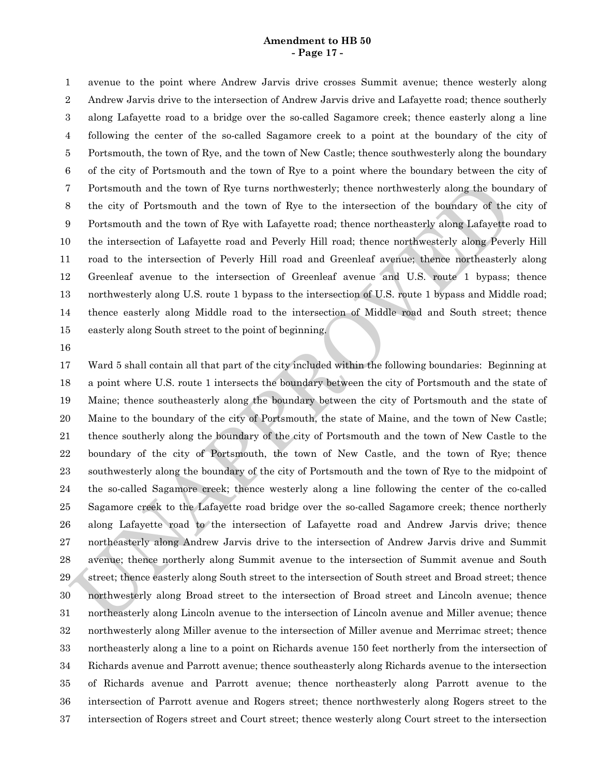#### **Amendment to HB 50 - Page 17 -**

avenue to the point where Andrew Jarvis drive crosses Summit avenue; thence westerly along Andrew Jarvis drive to the intersection of Andrew Jarvis drive and Lafayette road; thence southerly along Lafayette road to a bridge over the so-called Sagamore creek; thence easterly along a line following the center of the so-called Sagamore creek to a point at the boundary of the city of Portsmouth, the town of Rye, and the town of New Castle; thence southwesterly along the boundary of the city of Portsmouth and the town of Rye to a point where the boundary between the city of Portsmouth and the town of Rye turns northwesterly; thence northwesterly along the boundary of the city of Portsmouth and the town of Rye to the intersection of the boundary of the city of Portsmouth and the town of Rye with Lafayette road; thence northeasterly along Lafayette road to the intersection of Lafayette road and Peverly Hill road; thence northwesterly along Peverly Hill road to the intersection of Peverly Hill road and Greenleaf avenue; thence northeasterly along Greenleaf avenue to the intersection of Greenleaf avenue and U.S. route 1 bypass; thence northwesterly along U.S. route 1 bypass to the intersection of U.S. route 1 bypass and Middle road; thence easterly along Middle road to the intersection of Middle road and South street; thence easterly along South street to the point of beginning. 1 2 3 4 5 6 7 8 9 10 11 12 13 14 15

16

 northeasterly along a line to a point on Richards avenue 150 feet northerly from the intersection of 7 Portsmouth and the town of Rye turns northwesterly; thence northwesterly along the boundary<br>
10 the city of Portsmouth and the town of Rye with Lafayette road; the<br>nece northeasterly along Lafayette road in the town of Ward 5 shall contain all that part of the city included within the following boundaries: Beginning at a point where U.S. route 1 intersects the boundary between the city of Portsmouth and the state of Maine; thence southeasterly along the boundary between the city of Portsmouth and the state of Maine to the boundary of the city of Portsmouth, the state of Maine, and the town of New Castle; thence southerly along the boundary of the city of Portsmouth and the town of New Castle to the boundary of the city of Portsmouth, the town of New Castle, and the town of Rye; thence southwesterly along the boundary of the city of Portsmouth and the town of Rye to the midpoint of the so-called Sagamore creek; thence westerly along a line following the center of the co-called Sagamore creek to the Lafayette road bridge over the so-called Sagamore creek; thence northerly along Lafayette road to the intersection of Lafayette road and Andrew Jarvis drive; thence northeasterly along Andrew Jarvis drive to the intersection of Andrew Jarvis drive and Summit avenue; thence northerly along Summit avenue to the intersection of Summit avenue and South street; thence easterly along South street to the intersection of South street and Broad street; thence northwesterly along Broad street to the intersection of Broad street and Lincoln avenue; thence northeasterly along Lincoln avenue to the intersection of Lincoln avenue and Miller avenue; thence northwesterly along Miller avenue to the intersection of Miller avenue and Merrimac street; thence Richards avenue and Parrott avenue; thence southeasterly along Richards avenue to the intersection of Richards avenue and Parrott avenue; thence northeasterly along Parrott avenue to the intersection of Parrott avenue and Rogers street; thence northwesterly along Rogers street to the intersection of Rogers street and Court street; thence westerly along Court street to the intersection 17 18 19 20 21 22 23 24 25 26 27 28 29 30 31 32 33 34 35 36 37